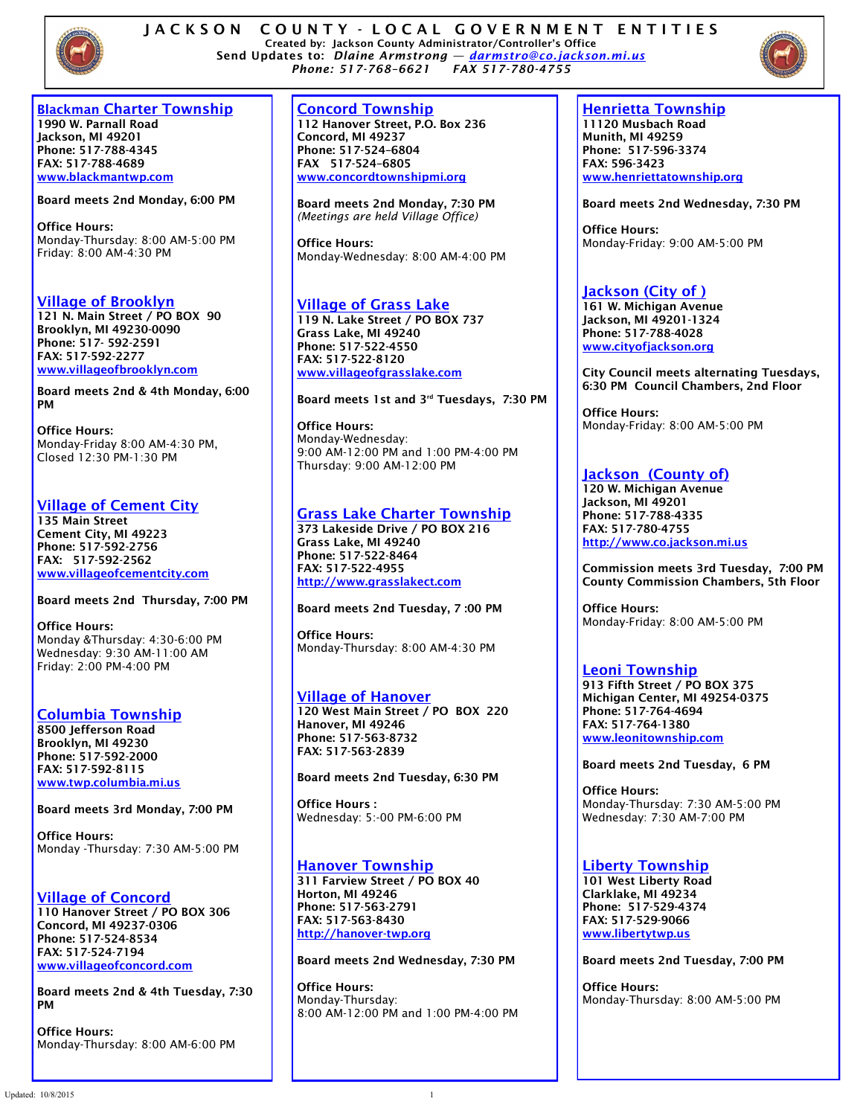



### **Blackman Charter Township**

**1990 W. Parnall Road Jackson, MI 49201 Phone: 517-788-4345 FAX: 517-788-4689 [www.blackmantwp.com](http://www.blackmantwp.com)**

**Board meets 2nd Monday, 6:00 PM** 

**Office Hours:**  Monday-Thursday: 8:00 AM-5:00 PM Friday: 8:00 AM-4:30 PM

### **Village of Brooklyn**

**121 N. Main Street / PO BOX 90 Brooklyn, MI 49230-0090 Phone: 517- 592-2591 FAX: 517-592-2277 [www.villageofbrooklyn.com](http://www.villageofbrooklyn.com)**

**Board meets 2nd & 4th Monday, 6:00 PM**

**Office Hours:**  Monday-Friday 8:00 AM-4:30 PM, Closed 12:30 PM-1:30 PM

### **Village of Cement City**

**135 Main Street Cement City, MI 49223 Phone: 517-592-2756 FAX: 517-592-2562 www.villageofcementcity.com**

**Board meets 2nd Thursday, 7:00 PM** 

**Office Hours:**  Monday &Thursday: 4:30-6:00 PM Wednesday: 9:30 AM-11:00 AM Friday: 2:00 PM-4:00 PM

# **Columbia Township**

**8500 Jefferson Road Brooklyn, MI 49230 Phone: 517-592-2000 FAX: 517-592-8115 [www.twp.columbia.mi.us](http://www.twp.columbia.mi.us)**

**Board meets 3rd Monday, 7:00 PM**

**Office Hours:**  Monday -Thursday: 7:30 AM-5:00 PM

#### **Village of Concord 110 Hanover Street / PO BOX 306 Concord, MI 49237-0306**

**Phone: 517-524-8534 FAX: 517-524-7194 www.villageofconcord.com**

**Board meets 2nd & 4th Tuesday, 7:30 PM** 

**Office Hours:**  Monday-Thursday: 8:00 AM-6:00 PM

### **Concord Township**

**112 Hanover Street, P.O. Box 236 Concord, MI 49237 Phone: 517-524–6804 FAX 517-524–6805 [www.concordtownshipmi.org](http://www.concordtownshipmi.org)**

**Board meets 2nd Monday, 7:30 PM**  *(Meetings are held Village Office)*

**Office Hours:**  Monday-Wednesday: 8:00 AM-4:00 PM

### **Village of Grass Lake**

**119 N. Lake Street / PO BOX 737 Grass Lake, MI 49240 Phone: 517-522-4550 FAX: 517-522-8120 [www.villageofgrasslake.com](http://www.villageofgrasslake.com)**

**Board meets 1st and 3rd Tuesdays, 7:30 PM**

**Office Hours:**  Monday-Wednesday: 9:00 AM-12:00 PM and 1:00 PM-4:00 PM Thursday: 9:00 AM-12:00 PM

### **Grass Lake Charter Township**

**373 Lakeside Drive / PO BOX 216 Grass Lake, MI 49240 Phone: 517-522-8464 FAX: 517-522-4955 <http://www.grasslakect.com>**

### **Board meets 2nd Tuesday, 7 :00 PM**

**Office Hours:**  Monday-Thursday: 8:00 AM-4:30 PM

# **Village of Hanover**

**120 West Main Street / PO BOX 220 Hanover, MI 49246 Phone: 517-563-8732 FAX: 517-563-2839** 

**Board meets 2nd Tuesday, 6:30 PM** 

**Office Hours :** Wednesday: 5:-00 PM-6:00 PM

### **Hanover Township**

**311 Farview Street / PO BOX 40 Horton, MI 49246 Phone: 517-563-2791 FAX: 517-563-8430 <http://hanover-twp.org>**

**Board meets 2nd Wednesday, 7:30 PM** 

**Office Hours:** Monday-Thursday: 8:00 AM-12:00 PM and 1:00 PM-4:00 PM

# **Henrietta Township**

**11120 Musbach Road Munith, MI 49259 Phone: 517-596-3374 FAX: 596-3423 www.henriettatownship.org**

**Board meets 2nd Wednesday, 7:30 PM**

**Office Hours:**  Monday-Friday: 9:00 AM-5:00 PM

### **Jackson (City of )**

**161 W. Michigan Avenue Jackson, MI 49201-1324 Phone: 517-788-4028 [www.cityofjackson.org](http://www.cityofjackson.org)**

**City Council meets alternating Tuesdays, 6:30 PM Council Chambers, 2nd Floor**

**Office Hours:**  Monday-Friday: 8:00 AM-5:00 PM

# **Jackson (County of)**

**120 W. Michigan Avenue Jackson, MI 49201 Phone: 517-788-4335 FAX: 517-780-4755 <http://www.co.jackson.mi.us>**

**Commission meets 3rd Tuesday, 7:00 PM County Commission Chambers, 5th Floor**

**Office Hours:**  Monday-Friday: 8:00 AM-5:00 PM

# **Leoni Township**

**913 Fifth Street / PO BOX 375 Michigan Center, MI 49254-0375 Phone: 517-764-4694 FAX: 517-764-1380 [www.leonitownship.com](http://www.leonitownship.com)**

**Board meets 2nd Tuesday, 6 PM** 

**Office Hours:**  Monday-Thursday: 7:30 AM-5:00 PM Wednesday: 7:30 AM-7:00 PM

### **Liberty Township**

**101 West Liberty Road Clarklake, MI 49234 Phone: 517-529-4374 FAX: 517-529-9066 [www.libertytwp.us](http://www.libertytwp.us)**

**Board meets 2nd Tuesday, 7:00 PM**

**Office Hours:**  Monday-Thursday: 8:00 AM-5:00 PM